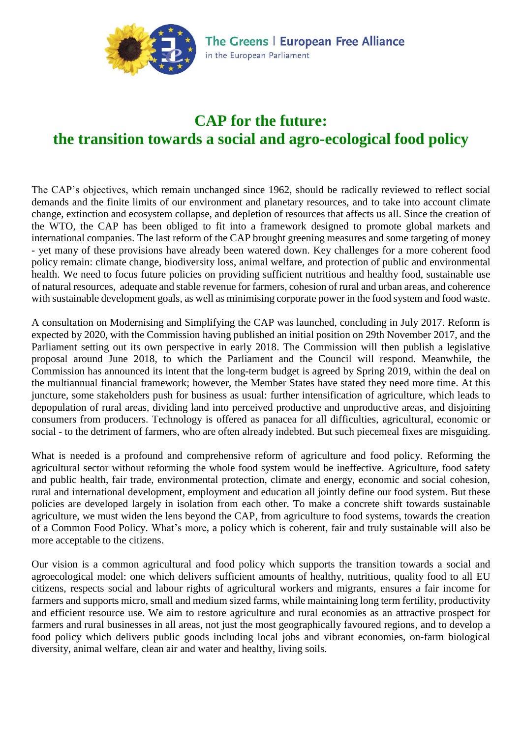

# **CAP for the future: the transition towards a social and agro-ecological food policy**

The CAP's objectives, which remain unchanged since 1962, should be radically reviewed to reflect social demands and the finite limits of our environment and planetary resources, and to take into account climate change, extinction and ecosystem collapse, and depletion of resources that affects us all. Since the creation of the WTO, the CAP has been obliged to fit into a framework designed to promote global markets and international companies. The last reform of the CAP brought greening measures and some targeting of money - yet many of these provisions have already been watered down. Key challenges for a more coherent food policy remain: climate change, biodiversity loss, animal welfare, and protection of public and environmental health. We need to focus future policies on providing sufficient nutritious and healthy food, sustainable use of natural resources, adequate and stable revenue for farmers, cohesion of rural and urban areas, and coherence with sustainable development goals, as well as minimising corporate power in the food system and food waste.

A consultation on Modernising and Simplifying the CAP was launched, concluding in July 2017. Reform is expected by 2020, with the Commission having published an initial position on 29th November 2017, and the Parliament setting out its own perspective in early 2018. The Commission will then publish a legislative proposal around June 2018, to which the Parliament and the Council will respond. Meanwhile, the Commission has announced its intent that the long-term budget is agreed by Spring 2019, within the deal on the multiannual financial framework; however, the Member States have stated they need more time. At this juncture, some stakeholders push for business as usual: further intensification of agriculture, which leads to depopulation of rural areas, dividing land into perceived productive and unproductive areas, and disjoining consumers from producers. Technology is offered as panacea for all difficulties, agricultural, economic or social - to the detriment of farmers, who are often already indebted. But such piecemeal fixes are misguiding.

What is needed is a profound and comprehensive reform of agriculture and food policy. Reforming the agricultural sector without reforming the whole food system would be ineffective. Agriculture, food safety and public health, fair trade, environmental protection, climate and energy, economic and social cohesion, rural and international development, employment and education all jointly define our food system. But these policies are developed largely in isolation from each other. To make a concrete shift towards sustainable agriculture, we must widen the lens beyond the CAP, from agriculture to food systems, towards the creation of a Common Food Policy. What's more, a policy which is coherent, fair and truly sustainable will also be more acceptable to the citizens.

Our vision is a common agricultural and food policy which supports the transition towards a social and agroecological model: one which delivers sufficient amounts of healthy, nutritious, quality food to all EU citizens, respects social and labour rights of agricultural workers and migrants, ensures a fair income for farmers and supports micro, small and medium sized farms, while maintaining long term fertility, productivity and efficient resource use. We aim to restore agriculture and rural economies as an attractive prospect for farmers and rural businesses in all areas, not just the most geographically favoured regions, and to develop a food policy which delivers public goods including local jobs and vibrant economies, on-farm biological diversity, animal welfare, clean air and water and healthy, living soils.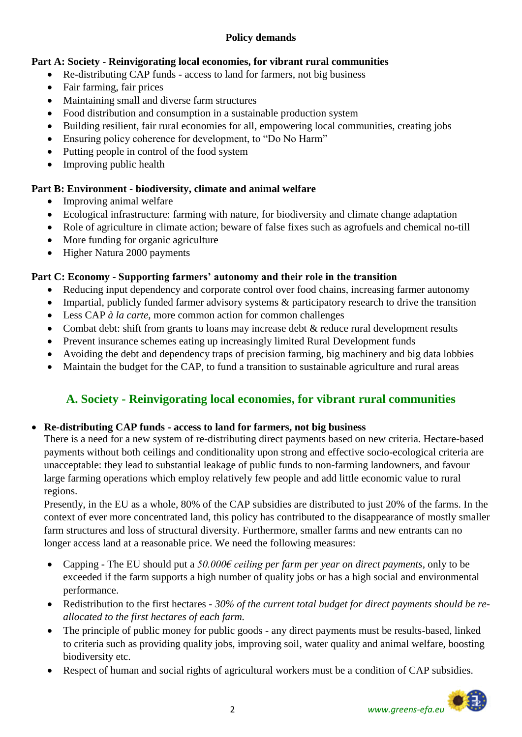# **Policy demands**

# **Part A: Society - Reinvigorating local economies, for vibrant rural communities**

- Re-distributing CAP funds access to land for farmers, not big business
- Fair farming, fair prices
- Maintaining small and diverse farm structures
- Food distribution and consumption in a sustainable production system
- Building resilient, fair rural economies for all, empowering local communities, creating jobs
- Ensuring policy coherence for development, to "Do No Harm"
- Putting people in control of the food system
- Improving public health

# **Part B: Environment - biodiversity, climate and animal welfare**

- Improving animal welfare
- Ecological infrastructure: farming with nature, for biodiversity and climate change adaptation
- Role of agriculture in climate action; beware of false fixes such as agrofuels and chemical no-till
- More funding for organic agriculture
- Higher Natura 2000 payments

# **Part C: Economy - Supporting farmers' autonomy and their role in the transition**

- Reducing input dependency and corporate control over food chains, increasing farmer autonomy
- Impartial, publicly funded farmer advisory systems  $\&$  participatory research to drive the transition
- Less CAP *à la carte*, more common action for common challenges
- Combat debt: shift from grants to loans may increase debt & reduce rural development results
- Prevent insurance schemes eating up increasingly limited Rural Development funds
- Avoiding the debt and dependency traps of precision farming, big machinery and big data lobbies
- Maintain the budget for the CAP, to fund a transition to sustainable agriculture and rural areas

# **A. Society - Reinvigorating local economies, for vibrant rural communities**

# **Re-distributing CAP funds - access to land for farmers, not big business**

There is a need for a new system of re-distributing direct payments based on new criteria. Hectare-based payments without both ceilings and conditionality upon strong and effective socio-ecological criteria are unacceptable: they lead to substantial leakage of public funds to non-farming landowners, and favour large farming operations which employ relatively few people and add little economic value to rural regions.

Presently, in the EU as a whole, 80% of the CAP subsidies are distributed to just 20% of the farms. In the context of ever more concentrated land, this policy has contributed to the disappearance of mostly smaller farm structures and loss of structural diversity. Furthermore, smaller farms and new entrants can no longer access land at a reasonable price. We need the following measures:

- Capping The EU should put a *50.000€ ceiling per farm per year on direct payments*, only to be exceeded if the farm supports a high number of quality jobs or has a high social and environmental performance.
- Redistribution to the first hectares *30% of the current total budget for direct payments should be reallocated to the first hectares of each farm.*
- The principle of public money for public goods any direct payments must be results-based, linked to criteria such as providing quality jobs, improving soil, water quality and animal welfare, boosting biodiversity etc.
- Respect of human and social rights of agricultural workers must be a condition of CAP subsidies.

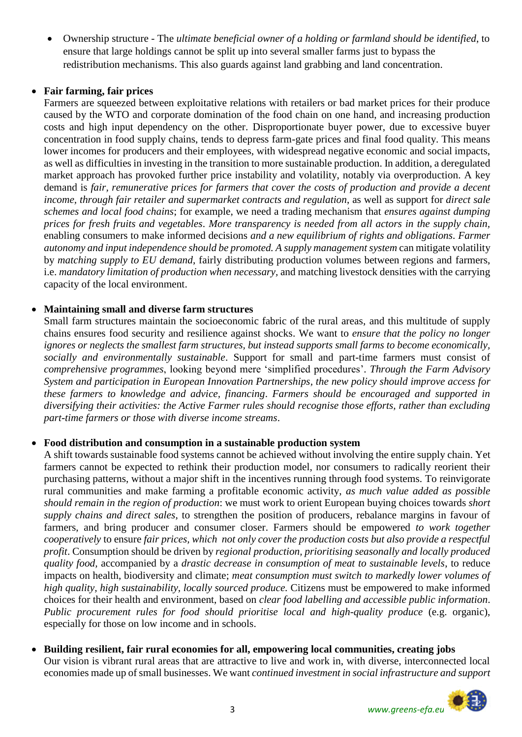Ownership structure - The *ultimate beneficial owner of a holding or farmland should be identified*, to ensure that large holdings cannot be split up into several smaller farms just to bypass the redistribution mechanisms. This also guards against land grabbing and land concentration.

## **Fair farming, fair prices**

Farmers are squeezed between exploitative relations with retailers or bad market prices for their produce caused by the WTO and corporate domination of the food chain on one hand, and increasing production costs and high input dependency on the other. Disproportionate buyer power, due to excessive buyer concentration in food supply chains, tends to depress farm-gate prices and final food quality. This means lower incomes for producers and their employees, with widespread negative economic and social impacts, as well as difficulties in investing in the transition to more sustainable production. In addition, a deregulated market approach has provoked further price instability and volatility, notably via overproduction. A key demand is *fair, remunerative prices for farmers that cover the costs of production and provide a decent income, through fair retailer and supermarket contracts and regulation*, as well as support for *direct sale schemes and local food chains*; for example, we need a trading mechanism that *ensures against dumping prices for fresh fruits and vegetables*. *More transparency is needed from all actors in the supply chain,*  enabling consumers to make informed decisions *and a new equilibrium of rights and obligations. Farmer autonomy and input independence should be promoted. A supply management system* can mitigate volatility by *matching supply to EU demand*, fairly distributing production volumes between regions and farmers, i.e. *mandatory limitation of production when necessary,* and matching livestock densities with the carrying capacity of the local environment.

# **Maintaining small and diverse farm structures**

Small farm structures maintain the socioeconomic fabric of the rural areas, and this multitude of supply chains ensures food security and resilience against shocks. We want to *ensure that the policy no longer ignores or neglects the smallest farm structures, but instead supports small farms to become economically, socially and environmentally sustainable*. Support for small and part-time farmers must consist of *comprehensive programmes*, looking beyond mere 'simplified procedures'. *Through the Farm Advisory System and participation in European Innovation Partnerships, the new policy should improve access for these farmers to knowledge and advice, financing*. *Farmers should be encouraged and supported in diversifying their activities: the Active Farmer rules should recognise those efforts, rather than excluding part-time farmers or those with diverse income streams*.

## **Food distribution and consumption in a sustainable production system**

A shift towards sustainable food systems cannot be achieved without involving the entire supply chain. Yet farmers cannot be expected to rethink their production model, nor consumers to radically reorient their purchasing patterns, without a major shift in the incentives running through food systems. To reinvigorate rural communities and make farming a profitable economic activity, *as much value added as possible should remain in the region of production*: we must work to orient European buying choices towards *short supply chains and direct sales*, to strengthen the position of producers, rebalance margins in favour of farmers, and bring producer and consumer closer. Farmers should be empowered *to work together cooperatively* to ensure *fair prices, which not only cover the production costs but also provide a respectful profit*. Consumption should be driven by *regional production, prioritising seasonally and locally produced quality food,* accompanied by a *drastic decrease in consumption of meat to sustainable levels*, to reduce impacts on health, biodiversity and climate; *meat consumption must switch to markedly lower volumes of high quality, high sustainability, locally sourced produce.* Citizens must be empowered to make informed choices for their health and environment, based on *clear food labelling and accessible public information*. *Public procurement rules for food should prioritise local and high-quality produce* (e.g. organic), especially for those on low income and in schools.

 **Building resilient, fair rural economies for all, empowering local communities, creating jobs** Our vision is vibrant rural areas that are attractive to live and work in, with diverse, interconnected local economies made up of small businesses. We want *continued investment in social infrastructure and support* 

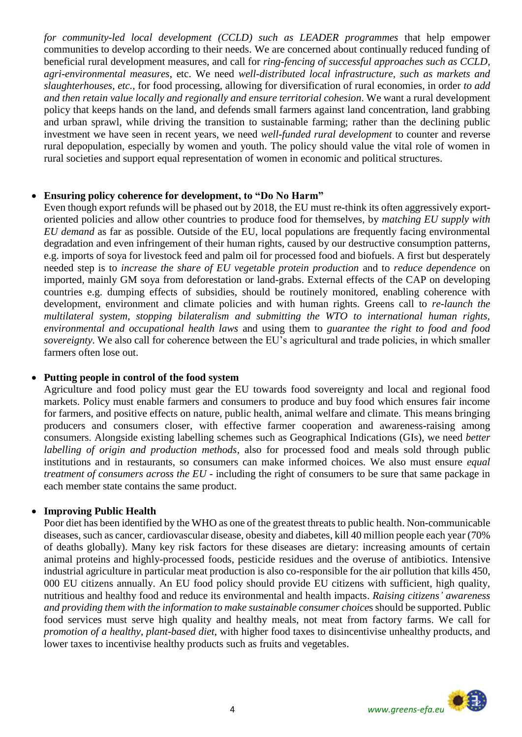*for community-led local development (CCLD) such as LEADER programmes* that help empower communities to develop according to their needs. We are concerned about continually reduced funding of beneficial rural development measures, and call for *ring-fencing of successful approaches such as CCLD, agri-environmental measures*, etc. We need *well-distributed local infrastructure, such as markets and slaughterhouses, etc.,* for food processing, allowing for diversification of rural economies, in order *to add and then retain value locally and regionally and ensure territorial cohesion*. We want a rural development policy that keeps hands on the land, and defends small farmers against land concentration, land grabbing and urban sprawl, while driving the transition to sustainable farming; rather than the declining public investment we have seen in recent years, we need *well-funded rural development* to counter and reverse rural depopulation, especially by women and youth. The policy should value the vital role of women in rural societies and support equal representation of women in economic and political structures.

#### **Ensuring policy coherence for development, to "Do No Harm"**

Even though export refunds will be phased out by 2018, the EU must re-think its often aggressively exportoriented policies and allow other countries to produce food for themselves, by *matching EU supply with EU demand* as far as possible. Outside of the EU, local populations are frequently facing environmental degradation and even infringement of their human rights, caused by our destructive consumption patterns, e.g. imports of soya for livestock feed and palm oil for processed food and biofuels. A first but desperately needed step is to *increase the share of EU vegetable protein production* and to *reduce dependence* on imported, mainly GM soya from deforestation or land-grabs. External effects of the CAP on developing countries e.g. dumping effects of subsidies, should be routinely monitored, enabling coherence with development, environment and climate policies and with human rights. Greens call to *re-launch the multilateral system, stopping bilateralism and submitting the WTO to international human rights, environmental and occupational health laws* and using them to *guarantee the right to food and food sovereignty*. We also call for coherence between the EU's agricultural and trade policies, in which smaller farmers often lose out.

## **Putting people in control of the food system**

Agriculture and food policy must gear the EU towards food sovereignty and local and regional food markets. Policy must enable farmers and consumers to produce and buy food which ensures fair income for farmers, and positive effects on nature, public health, animal welfare and climate. This means bringing producers and consumers closer, with effective farmer cooperation and awareness-raising among consumers. Alongside existing labelling schemes such as Geographical Indications (GIs), we need *better labelling of origin and production methods,* also for processed food and meals sold through public institutions and in restaurants, so consumers can make informed choices. We also must ensure *equal treatment of consumers across the EU* - including the right of consumers to be sure that same package in each member state contains the same product.

## **Improving Public Health**

Poor diet has been identified by the WHO as one of the greatest threats to public health. Non-communicable diseases, such as cancer, cardiovascular disease, obesity and diabetes, kill 40 million people each year (70% of deaths globally). Many key risk factors for these diseases are dietary: increasing amounts of certain animal proteins and highly-processed foods, pesticide residues and the overuse of antibiotics. Intensive industrial agriculture in particular meat production is also co-responsible for the air pollution that kills 450, 000 EU citizens annually. An EU food policy should provide EU citizens with sufficient, high quality, nutritious and healthy food and reduce its environmental and health impacts. *Raising citizens' awareness and providing them with the information to make sustainable consumer choice*s should be supported. Public food services must serve high quality and healthy meals, not meat from factory farms. We call for *promotion of a healthy, plant-based diet*, with higher food taxes to disincentivise unhealthy products, and lower taxes to incentivise healthy products such as fruits and vegetables.

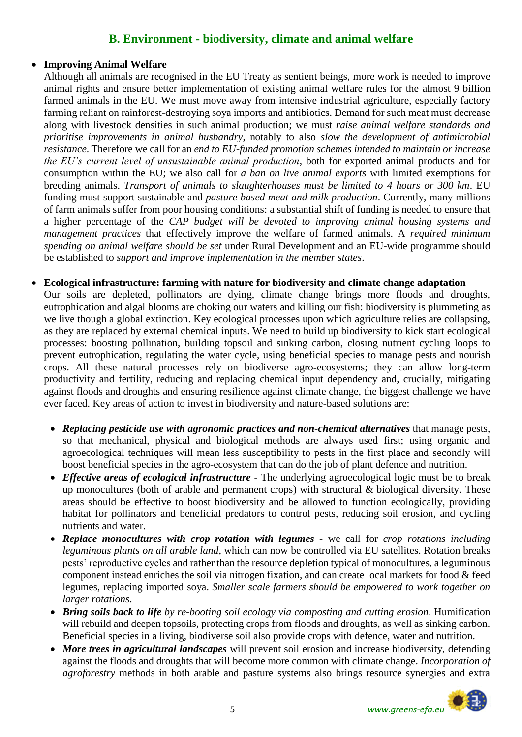# **B. Environment - biodiversity, climate and animal welfare**

#### **Improving Animal Welfare**

Although all animals are recognised in the EU Treaty as sentient beings, more work is needed to improve animal rights and ensure better implementation of existing animal welfare rules for the almost 9 billion farmed animals in the EU. We must move away from intensive industrial agriculture, especially factory farming reliant on rainforest-destroying soya imports and antibiotics. Demand for such meat must decrease along with livestock densities in such animal production; we must *raise animal welfare standards and prioritise improvements in animal husbandry*, notably to also *slow the development of antimicrobial resistance*. Therefore we call for an *end to EU-funded promotion schemes intended to maintain or increase the EU's current level of unsustainable animal production*, both for exported animal products and for consumption within the EU; we also call for *a ban on live animal exports* with limited exemptions for breeding animals. *Transport of animals to slaughterhouses must be limited to 4 hours or 300 km*. EU funding must support sustainable and *pasture based meat and milk production*. Currently, many millions of farm animals suffer from poor housing conditions: a substantial shift of funding is needed to ensure that a higher percentage of the *CAP budget will be devoted to improving animal housing systems and management practices* that effectively improve the welfare of farmed animals. A *required minimum spending on animal welfare should be set* under Rural Development and an EU-wide programme should be established to *support and improve implementation in the member states*.

#### **Ecological infrastructure: farming with nature for biodiversity and climate change adaptation**

Our soils are depleted, pollinators are dying, climate change brings more floods and droughts, eutrophication and algal blooms are choking our waters and killing our fish: biodiversity is plummeting as we live though a global extinction. Key ecological processes upon which agriculture relies are collapsing, as they are replaced by external chemical inputs. We need to build up biodiversity to kick start ecological processes: boosting pollination, building topsoil and sinking carbon, closing nutrient cycling loops to prevent eutrophication, regulating the water cycle, using beneficial species to manage pests and nourish crops. All these natural processes rely on biodiverse agro-ecosystems; they can allow long-term productivity and fertility, reducing and replacing chemical input dependency and, crucially, mitigating against floods and droughts and ensuring resilience against climate change, the biggest challenge we have ever faced. Key areas of action to invest in biodiversity and nature-based solutions are:

- *Replacing pesticide use with agronomic practices and non-chemical alternatives* that manage pests, so that mechanical, physical and biological methods are always used first; using organic and agroecological techniques will mean less susceptibility to pests in the first place and secondly will boost beneficial species in the agro-ecosystem that can do the job of plant defence and nutrition.
- *Effective areas of ecological infrastructure* The underlying agroecological logic must be to break up monocultures (both of arable and permanent crops) with structural & biological diversity. These areas should be effective to boost biodiversity and be allowed to function ecologically, providing habitat for pollinators and beneficial predators to control pests, reducing soil erosion, and cycling nutrients and water.
- *Replace monocultures with crop rotation with legumes -* we call for *crop rotations including leguminous plants on all arable land*, which can now be controlled via EU satellites. Rotation breaks pests' reproductive cycles and rather than the resource depletion typical of monocultures, a leguminous component instead enriches the soil via nitrogen fixation, and can create local markets for food & feed legumes, replacing imported soya. *Smaller scale farmers should be empowered to work together on larger rotations*.
- *Bring soils back to life by re-booting soil ecology via composting and cutting erosion*. Humification will rebuild and deepen topsoils, protecting crops from floods and droughts, as well as sinking carbon. Beneficial species in a living, biodiverse soil also provide crops with defence, water and nutrition.
- *More trees in agricultural landscapes* will prevent soil erosion and increase biodiversity, defending against the floods and droughts that will become more common with climate change. *Incorporation of agroforestry* methods in both arable and pasture systems also brings resource synergies and extra

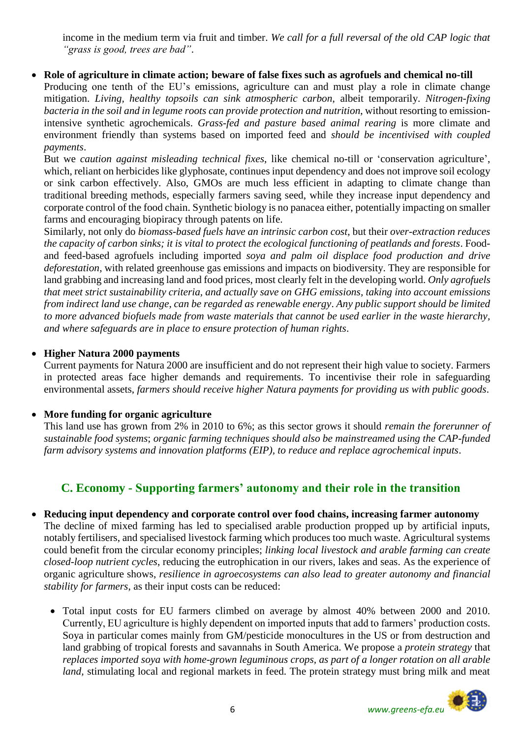income in the medium term via fruit and timber. *We call for a full reversal of the old CAP logic that "grass is good, trees are bad"*.

## **Role of agriculture in climate action; beware of false fixes such as agrofuels and chemical no-till**

Producing one tenth of the EU's emissions, agriculture can and must play a role in climate change mitigation. *Living, healthy topsoils can sink atmospheric carbon*, albeit temporarily. *Nitrogen-fixing bacteria in the soil and in legume roots can provide protection and nutrition*, without resorting to emissionintensive synthetic agrochemicals. *Grass-fed and pasture based animal rearing* is more climate and environment friendly than systems based on imported feed and *should be incentivised with coupled payments*.

But we *caution against misleading technical fixes*, like chemical no-till or 'conservation agriculture', which, reliant on herbicides like glyphosate, continues input dependency and does not improve soil ecology or sink carbon effectively. Also, GMOs are much less efficient in adapting to climate change than traditional breeding methods, especially farmers saving seed, while they increase input dependency and corporate control of the food chain. Synthetic biology is no panacea either, potentially impacting on smaller farms and encouraging biopiracy through patents on life.

Similarly, not only do *biomass-based fuels have an intrinsic carbon cost*, but their *over-extraction reduces the capacity of carbon sinks; it is vital to protect the ecological functioning of peatlands and forests*. Foodand feed-based agrofuels including imported *soya and palm oil displace food production and drive deforestation*, with related greenhouse gas emissions and impacts on biodiversity. They are responsible for land grabbing and increasing land and food prices, most clearly felt in the developing world. *Only agrofuels that meet strict sustainability criteria, and actually save on GHG emissions, taking into account emissions from indirect land use change, can be regarded as renewable energy*. *Any public support should be limited to more advanced biofuels made from waste materials that cannot be used earlier in the waste hierarchy, and where safeguards are in place to ensure protection of human rights*.

## **Higher Natura 2000 payments**

Current payments for Natura 2000 are insufficient and do not represent their high value to society. Farmers in protected areas face higher demands and requirements. To incentivise their role in safeguarding environmental assets, *farmers should receive higher Natura payments for providing us with public goods*.

## **More funding for organic agriculture**

This land use has grown from 2% in 2010 to 6%; as this sector grows it should *remain the forerunner of sustainable food systems*; *organic farming techniques should also be mainstreamed using the CAP-funded farm advisory systems and innovation platforms (EIP), to reduce and replace agrochemical inputs*.

# **C. Economy - Supporting farmers' autonomy and their role in the transition**

## **Reducing input dependency and corporate control over food chains, increasing farmer autonomy**

The decline of mixed farming has led to specialised arable production propped up by artificial inputs, notably fertilisers, and specialised livestock farming which produces too much waste. Agricultural systems could benefit from the circular economy principles; *linking local livestock and arable farming can create closed-loop nutrient cycles*, reducing the eutrophication in our rivers, lakes and seas. As the experience of organic agriculture shows, *resilience in agroecosystems can also lead to greater autonomy and financial stability for farmers*, as their input costs can be reduced:

 Total input costs for EU farmers climbed on average by almost 40% between 2000 and 2010. Currently, EU agriculture is highly dependent on imported inputs that add to farmers' production costs. Soya in particular comes mainly from GM/pesticide monocultures in the US or from destruction and land grabbing of tropical forests and savannahs in South America. We propose a *protein strategy* that *replaces imported soya with home-grown leguminous crops, as part of a longer rotation on all arable*  land, stimulating local and regional markets in feed. The protein strategy must bring milk and meat

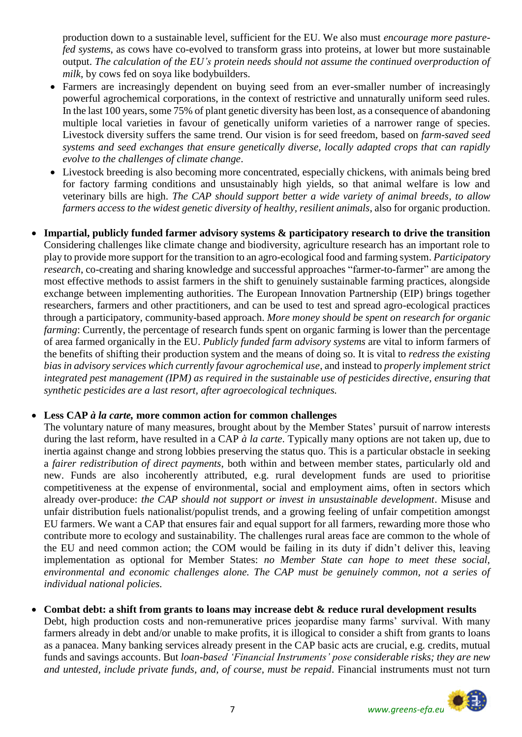production down to a sustainable level, sufficient for the EU. We also must *encourage more pasturefed systems*, as cows have co-evolved to transform grass into proteins, at lower but more sustainable output. *The calculation of the EU's protein needs should not assume the continued overproduction of milk*, by cows fed on soya like bodybuilders.

- Farmers are increasingly dependent on buying seed from an ever-smaller number of increasingly powerful agrochemical corporations, in the context of restrictive and unnaturally uniform seed rules. In the last 100 years, some [75% of plant genetic diversity has been lost,](http://www.fao.org/docrep/007/y5609e/y5609e02.htm) as a consequence of abandoning multiple local varieties in favour of genetically uniform varieties of a narrower range of species. Livestock diversity suffers the same trend. Our vision is for seed freedom, based on *farm-saved seed systems and seed exchanges that ensure genetically diverse, locally adapted crops that can rapidly evolve to the challenges of climate change*.
- Livestock breeding is also becoming more concentrated, especially chickens, with animals being bred for factory farming conditions and unsustainably high yields, so that animal welfare is low and veterinary bills are high. *The CAP should support better a wide variety of animal breeds, to allow farmers access to the widest genetic diversity of healthy, resilient animals*, also for organic production.
- **Impartial, publicly funded farmer advisory systems & participatory research to drive the transition** Considering challenges like climate change and biodiversity, agriculture research has an important role to play to provide more support for the transition to an agro-ecological food and farming system. *Participatory research*, co-creating and sharing knowledge and successful approaches "farmer-to-farmer" are among the most effective methods to assist farmers in the shift to genuinely sustainable farming practices, alongside exchange between implementing authorities. The European Innovation Partnership (EIP) brings together researchers, farmers and other practitioners, and can be used to test and spread agro-ecological practices through a participatory, community-based approach. *More money should be spent on research for organic farming*: Currently, the percentage of research funds spent on organic farming is lower than the percentage of area farmed organically in the EU. *Publicly funded farm advisory systems* are vital to inform farmers of the benefits of shifting their production system and the means of doing so. It is vital to *redress the existing bias in advisory services which currently favour agrochemical use*, and instead to *properly implement strict integrated pest management (IPM) as required in the sustainable use of pesticides directive, ensuring that synthetic pesticides are a last resort, after agroecological techniques.*

## **Less CAP** *à la carte,* **more common action for common challenges**

The voluntary nature of many measures, brought about by the Member States' pursuit of narrow interests during the last reform, have resulted in a CAP *à la carte*. Typically many options are not taken up, due to inertia against change and strong lobbies preserving the status quo. This is a particular obstacle in seeking a *fairer redistribution of direct payments*, both within and between member states, particularly old and new. Funds are also incoherently attributed, e.g. rural development funds are used to prioritise competitiveness at the expense of environmental, social and employment aims, often in sectors which already over-produce: *the CAP should not support or invest in unsustainable development*. Misuse and unfair distribution fuels nationalist/populist trends, and a growing feeling of unfair competition amongst EU farmers. We want a CAP that ensures fair and equal support for all farmers, rewarding more those who contribute more to ecology and sustainability. The challenges rural areas face are common to the whole of the EU and need common action; the COM would be failing in its duty if didn't deliver this, leaving implementation as optional for Member States: *no Member State can hope to meet these social, environmental and economic challenges alone. The CAP must be genuinely common, not a series of individual national policies.* 

## **Combat debt: a shift from grants to loans may increase debt & reduce rural development results**

Debt, high production costs and non-remunerative prices jeopardise many farms' survival. With many farmers already in debt and/or unable to make profits, it is illogical to consider a shift from grants to loans as a panacea. Many banking services already present in the CAP basic acts are crucial, e.g. credits, mutual funds and savings accounts. But *loan-based 'Financial Instruments' pose considerable risks; they are new and untested, include private funds, and, of course, must be repaid*. Financial instruments must not turn

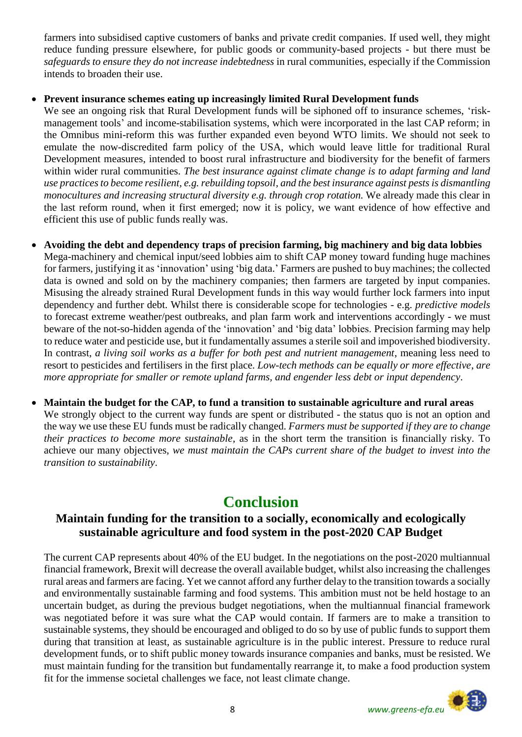farmers into subsidised captive customers of banks and private credit companies. If used well, they might reduce funding pressure elsewhere, for public goods or community-based projects - but there must be *safeguards to ensure they do not increase indebtedness* in rural communities, especially if the Commission intends to broaden their use.

# **Prevent insurance schemes eating up increasingly limited Rural Development funds**

We see an ongoing risk that Rural Development funds will be siphoned off to insurance schemes, 'riskmanagement tools' and income-stabilisation systems, which were incorporated in the last CAP reform; in the Omnibus mini-reform this was further expanded even beyond WTO limits. We should not seek to emulate the now-discredited farm policy of the USA, which would leave little for traditional Rural Development measures, intended to boost rural infrastructure and biodiversity for the benefit of farmers within wider rural communities. *The best insurance against climate change is to adapt farming and land use practices to become resilient, e.g. rebuilding topsoil, and the best insurance against pests is dismantling monocultures and increasing structural diversity e.g. through crop rotation.* We already made this clear in the last reform round, when it first emerged; now it is policy, we want evidence of how effective and efficient this use of public funds really was.

- **Avoiding the debt and dependency traps of precision farming, big machinery and big data lobbies**  Mega-machinery and chemical input/seed lobbies aim to shift CAP money toward funding huge machines for farmers, justifying it as 'innovation' using 'big data.' Farmers are pushed to buy machines; the collected data is owned and sold on by the machinery companies; then farmers are targeted by input companies. Misusing the already strained Rural Development funds in this way would further lock farmers into input dependency and further debt. Whilst there is considerable scope for technologies - e.g. *predictive models* to forecast extreme weather/pest outbreaks, and plan farm work and interventions accordingly - we must beware of the not-so-hidden agenda of the 'innovation' and 'big data' lobbies. Precision farming may help to reduce water and pesticide use, but it fundamentally assumes a sterile soil and impoverished biodiversity. In contrast, *a living soil works as a buffer for both pest and nutrient management*, meaning less need to resort to pesticides and fertilisers in the first place. *Low-tech methods can be equally or more effective*, *are more appropriate for smaller or remote upland farms, and engender less debt or input dependency*.
- **Maintain the budget for the CAP, to fund a transition to sustainable agriculture and rural areas** We strongly object to the current way funds are spent or distributed - the status quo is not an option and the way we use these EU funds must be radically changed. *Farmers must be supported if they are to change their practices to become more sustainable*, as in the short term the transition is financially risky. To achieve our many objectives, *we must maintain the CAPs current share of the budget to invest into the transition to sustainability*.

# **Conclusion**

# **Maintain funding for the transition to a socially, economically and ecologically sustainable agriculture and food system in the post-2020 CAP Budget**

The current CAP represents about 40% of the EU budget. In the negotiations on the post-2020 multiannual financial framework, Brexit will decrease the overall available budget, whilst also increasing the challenges rural areas and farmers are facing. Yet we cannot afford any further delay to the transition towards a socially and environmentally sustainable farming and food systems. This ambition must not be held hostage to an uncertain budget, as during the previous budget negotiations, when the multiannual financial framework was negotiated before it was sure what the CAP would contain. If farmers are to make a transition to sustainable systems, they should be encouraged and obliged to do so by use of public funds to support them during that transition at least, as sustainable agriculture is in the public interest. Pressure to reduce rural development funds, or to shift public money towards insurance companies and banks, must be resisted. We must maintain funding for the transition but fundamentally rearrange it, to make a food production system fit for the immense societal challenges we face, not least climate change.